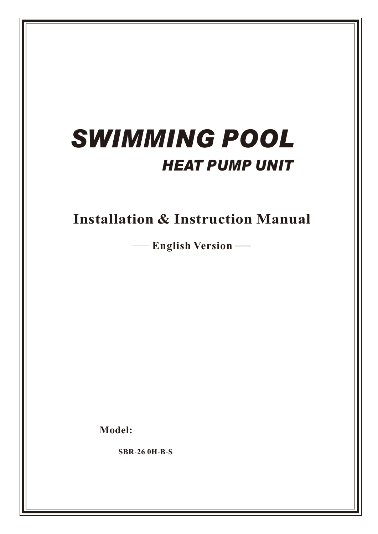# *SWIMMING POOL HEAT PUMP UNIT*

**Installation & Instruction Manual**

**English Version**

**Model:**

**SBR**-**26**.**0H**-**B**-**S**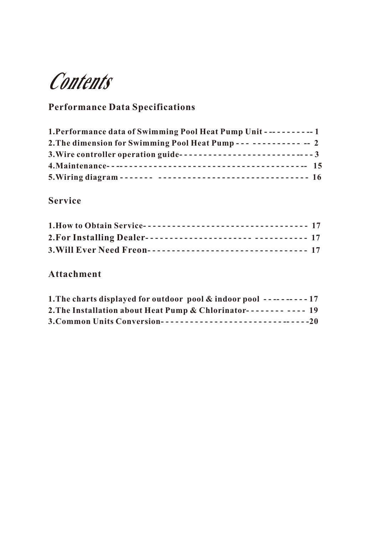**Contents**

## **Performance Data Specifications**

| 1. Performance data of Swimming Pool Heat Pump Unit ----------- 1   |  |
|---------------------------------------------------------------------|--|
| 2. The dimension for Swimming Pool Heat Pump -------------- -- 2    |  |
| 3. Wire controller operation guide--------------------------------3 |  |
|                                                                     |  |
|                                                                     |  |

### **Service**

| 1. How to Obtain Service---------------------------------- 17 |  |
|---------------------------------------------------------------|--|
| 2. For Installing Dealer----------------------- ---------- 17 |  |
| 3. Will Ever Need Freon--------------------------------- 17   |  |

### **Attachment**

| 1. The charts displayed for outdoor pool $\&$ indoor pool ---------17 |  |
|-----------------------------------------------------------------------|--|
| 2. The Installation about Heat Pump & Chlorinator-------- ---- 19     |  |
|                                                                       |  |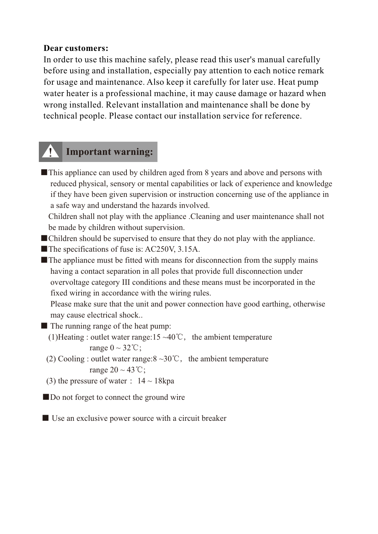#### **Dear customers:**

In order to use this machine safely, please read this user's manual carefully before using and installation, especially pay attention to each notice remark for usage and maintenance. Also keep it carefully for later use. Heat pump water heater is a professional machine, it may cause damage or hazard when wrong installed. Relevant installation and maintenance shall be done by technical people. Please contact our installation service for reference.

### **Important warning:**

■ This appliance can used by children aged from 8 years and above and persons with reduced physical, sensory or mental capabilities or lack of experience and knowledge if they have been given supervision or instruction concerning use of the appliance in a safe way and understand the hazards involved.

 Children shall not play with the appliance .Cleaning and user maintenance shall not be made by children without supervision.

- ■Children should be supervised to ensure that they do not play with the appliance.
- ■The specifications of fuse is: AC250V, 3.15A.
- $\blacksquare$  The appliance must be fitted with means for disconnection from the supply mains having a contact separation in all poles that provide full disconnection under overvoltage category III conditions and these means must be incorporated in the fixed wiring in accordance with the wiring rules.

 Please make sure that the unit and power connection have good earthing, otherwise may cause electrical shock..

- The running range of the heat pump:
	- (1)Heating : outlet water range:15 ~40°C, the ambient temperature range  $0 \sim 32$ °C;
	- (2) Cooling : outlet water range: $8 \sim 30^{\circ}$ C, the ambient temperature range  $20 \sim 43$ °C;
	- (3) the pressure of water :  $14 \sim 18$ kpa

■ Do not forget to connect the ground wire

■ Use an exclusive power source with a circuit breaker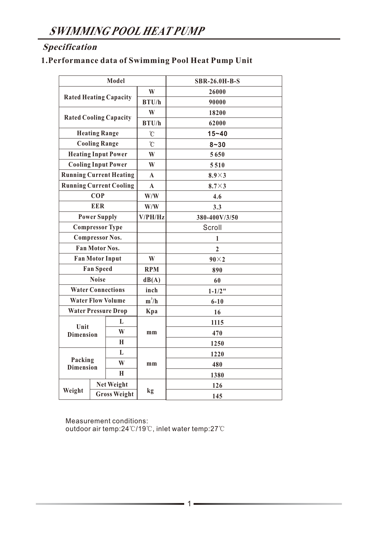### **Specification**

### **1.Performance data of Swimming Pool Heat Pump Unit**

| Model                         |                       |                                | <b>SBR-26.0H-B-S</b> |                |  |
|-------------------------------|-----------------------|--------------------------------|----------------------|----------------|--|
| <b>Rated Heating Capacity</b> |                       | W                              | 26000                |                |  |
|                               |                       | B T U/h                        | 90000                |                |  |
| <b>Rated Cooling Capacity</b> |                       | W                              | 18200                |                |  |
|                               |                       |                                | B T U/h              | 62000          |  |
|                               | <b>Heating Range</b>  |                                | $\rm ^{\circ}C$      | $15 - 40$      |  |
|                               | <b>Cooling Range</b>  |                                | $\overline{C}$       | $8 - 30$       |  |
|                               |                       | <b>Heating Input Power</b>     | W                    | 5650           |  |
|                               |                       | <b>Cooling Input Power</b>     | W                    | 5510           |  |
|                               |                       | <b>Running Current Heating</b> | $\mathbf A$          | $8.9\times3$   |  |
|                               |                       | <b>Running Current Cooling</b> | $\mathbf{A}$         | $8.7\times3$   |  |
|                               | <b>COP</b>            |                                | W/W                  | 4.6            |  |
|                               | <b>EER</b>            |                                | W/W                  | 3.3            |  |
|                               | <b>Power Supply</b>   |                                | V/PH/Hz              | 380-400V/3/50  |  |
|                               |                       | <b>Compressor Type</b>         |                      | Scroll         |  |
|                               |                       | <b>Compressor Nos.</b>         |                      | 1              |  |
|                               | <b>Fan Motor Nos.</b> |                                |                      | $\overline{2}$ |  |
|                               |                       | <b>Fan Motor Input</b>         | W                    | $90\times2$    |  |
|                               | <b>Fan Speed</b>      |                                | <b>RPM</b>           | 890            |  |
|                               | <b>Noise</b>          |                                | dB(A)                | 60             |  |
|                               |                       | <b>Water Connections</b>       | inch                 | $1 - 1/2$ "    |  |
|                               |                       | <b>Water Flow Volume</b>       | $m^3/h$              | $6 - 10$       |  |
|                               |                       | <b>Water Pressure Drop</b>     | Kpa                  | 16             |  |
| Unit                          |                       | L                              |                      | 1115           |  |
| <b>Dimension</b>              |                       | W                              | mm                   | 470            |  |
|                               |                       | H                              |                      | 1250           |  |
|                               |                       | L                              |                      | 1220           |  |
| Packing<br><b>Dimension</b>   |                       | W                              | mm                   | 480            |  |
|                               |                       | H                              |                      | 1380           |  |
|                               |                       | <b>Net Weight</b>              |                      | 126            |  |
| Weight                        | <b>Gross Weight</b>   |                                | kg                   | 145            |  |

Measurement conditions: outdoor air temp:24℃/19℃, inlet water temp:27℃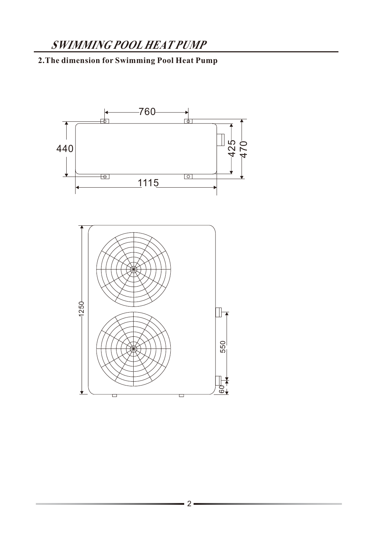### **2.The dimension for Swimming Pool Heat Pump**

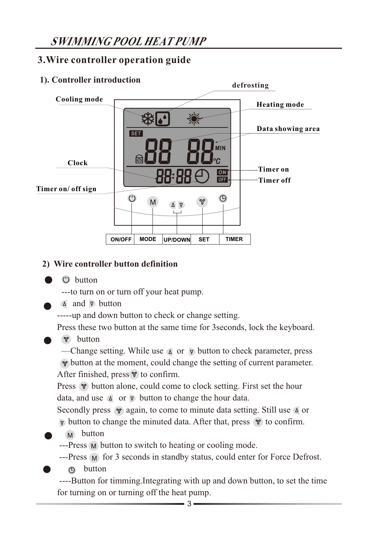### **3.Wire controller operation guide**

### **1). Controller introduction defrosting Cooling mode Heating mode Data showing area**  $s$ <sub>ET</sub> **MIN Clock Timer on**   $|ON|$  $\overline{\overline{\text{OFF}}}$ **Timer off Timer on/ off sign**  $<sup>(1)</sup>$ </sup>  $\bigoplus$ M **ON/OFF MODE UP/DOWN SET TIMER**

### **2) Wire controller button definition**

button

---to turn on or turn off your heat pump.

 $\triangle$  and  $\nabla$  button

-----up and down button to check or change setting.

Press these two button at the same time for 3seconds, lock the keyboard.

button

—Change setting. While use  $\Delta$  or  $\nabla$  button to check parameter, press  $\gamma$  button at the moment, could change the setting of current parameter. After finished, press  $\mathcal{P}$  to confirm.

Press  $\gamma$  button alone, could come to clock setting. First set the hour data, and use  $\Delta$  or  $\nabla$  button to change the hour data.

Secondly press  $\gamma$  again, to come to minute data setting. Still use  $\Delta$  or  $\nabla$  button to change the minuted data. After that, press  $\nabla$  to confirm.

M button

---Press M button to switch to heating or cooling mode.

---Press M for 3 seconds in standby status, could enter for Force Defrost.

button

 ----Button for timming.Integrating with up and down button, to set the time for turning on or turning off the heat pump.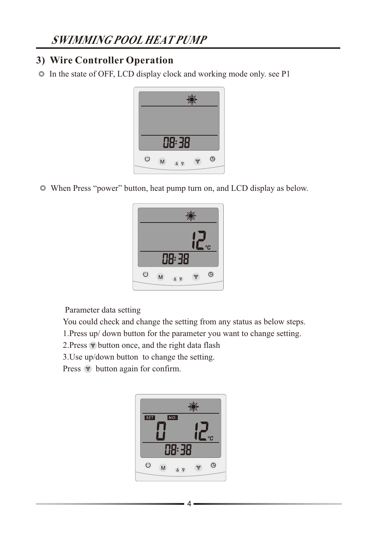### **3) Wire Controller Operation**

 $\circ$  In the state of OFF, LCD display clock and working mode only. see P1



When Press "power" button, heat pump turn on, and LCD display as below.



Parameter data setting

You could check and change the setting from any status as below steps.

1.Press up/ down button for the parameter you want to change setting.

2. Press  $\mathcal{P}$  button once, and the right data flash

3.Use up/down button to change the setting.

Press  $\mathcal V$  button again for confirm.

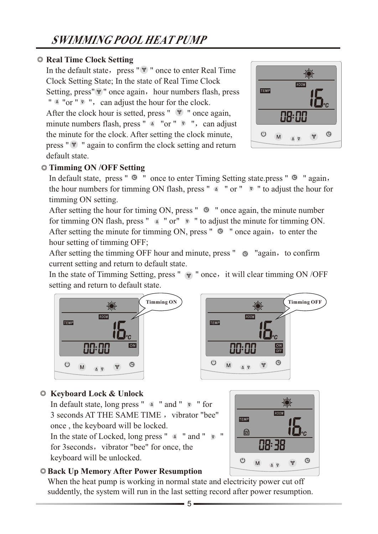### **Real Time Clock Setting**

In the default state, press " $\mathcal{V}$ " once to enter Real Time Clock Setting State; In the state of Real Time Clock Setting, press" $\mathcal{V}$ " once again, hour numbers flash, press " $\alpha$  "or "  $\gamma$ ", can adjust the hour for the clock. After the clock hour is setted, press " $\sqrt{\ }$ " once again, minute numbers flash, press "  $\triangle$  "or "  $\triangledown$ ", can adjust the minute for the clock. After setting the clock minute, press " $\mathcal{V}$ " again to confirm the clock setting and return default state.



### **Timming ON /OFF Setting**

In default state, press "  $\Theta$  " once to enter Timing Setting state.press "  $\Theta$  " again, the hour numbers for timming ON flash, press "  $\triangle$  " or "  $\triangledown$  " to adjust the hour for timming ON setting.

After setting the hour for timing ON, press "  $\Theta$  " once again, the minute number for timming ON flash, press "  $\Delta$  " or"  $\Delta$ " to adjust the minute for timming ON. After setting the minute for timming ON, press " $\Theta$ " once again, to enter the hour setting of timming OFF;

After setting the timming OFF hour and minute, press  $" \circledcirc "again, to confirm"$ current setting and return to default state.

In the state of Timming Setting, press "  $\gamma$  " once, it will clear timming ON /OFF setting and return to default state.





### **Keyboard Lock & Unlock**

In default state, long press "  $\triangle$  " and "  $\triangledown$  " for 3 seconds AT THE SAME TIME, vibrator "bee" once , the keyboard will be locked. In the state of Locked, long press "  $\Delta$  " and "  $\triangledown$  " for 3 seconds, vibrator "bee" for once, the

keyboard will be unlocked.



### **Back Up Memory After Power Resumption**

When the heat pump is working in normal state and electricity power cut off suddently, the system will run in the last setting record after power resumption.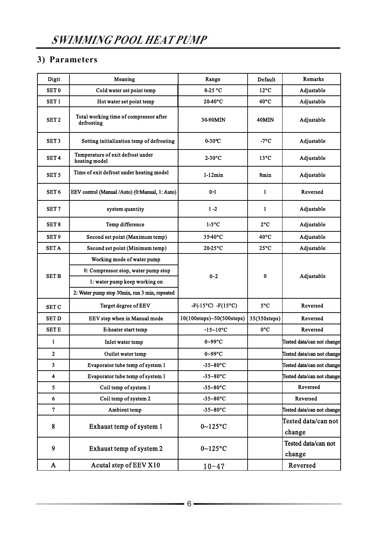### **3) Parameters**

| Digit            | Meaning                                              | Range                     | Default        | Remarks                       |
|------------------|------------------------------------------------------|---------------------------|----------------|-------------------------------|
| SET <sub>0</sub> | Cold water set point temp                            | 8-25 °C                   | $12^{\circ}$ C | Adjustable                    |
| SET <sub>1</sub> | Hot water set point temp                             | 20-40°C                   | $40^{\circ}$ C | Adjustable                    |
| SET <sub>2</sub> | Total working time of compressor after<br>defrosting | 30-90MIN                  | 40MIN          | Adjustable                    |
| SET <sub>3</sub> | Setting initialization temp of defrosting            | $0-30$ °C                 | $-7^{\circ}$ C | Adjustable                    |
| SET <sub>4</sub> | Temperature of exit defrost under<br>heating model   | $2-30$ °C                 | $13^{\circ}$ C | Adjustable                    |
| SET <sub>5</sub> | Time of exit defrost under heating model             | $1-12min$                 | 8min           | Adjustable                    |
| SET <sub>6</sub> | EEV control (Manual /Auto) (0:Manual, 1: Auto)       | $0 - 1$                   | 1              | Reversed                      |
| SET <sub>7</sub> | system quantity                                      | $1 - 2$                   | $\mathbf{1}$   | Adjustable                    |
| SET <sub>8</sub> | Temp difference                                      | $1-5$ °C                  | $2^{\circ}C$   | Adjustable                    |
| SET <sub>9</sub> | Second set point (Maximum temp)                      | 35-40°C                   | $40^{\circ}$ C | Adjustable                    |
| <b>SETA</b>      | Second set point (Minimum temp)                      | 20-25°C                   | $25^{\circ}$ C | Adjustable                    |
|                  | Working mode of water pump                           |                           |                |                               |
| <b>SET B</b>     | 0: Compressor stop, water pump stop                  | $0 - 2$                   | $\bf{0}$       | Adjustable                    |
|                  | 1: water pump keep working on                        |                           |                |                               |
|                  | 2: Water pump stop 30min, run 3 min, repeated        |                           |                |                               |
| <b>SET C</b>     | Target degree of EEV                                 | $-F(-15°C) - F(15°C)$     | $5^{\circ}$ C  | Reversed                      |
| <b>SET D</b>     | EEV step when in Manual mode                         | 10(100steps)~50(500steps) | 35(350steps)   | Reversed                      |
| <b>SET E</b>     | E-heater start temp                                  | $-15 - 10$ °C             | $0^{\circ}C$   | Reversed                      |
| 1                | Inlet water temp                                     | $0 - 99$ °C               |                | Tested data/can not change    |
| $\mathbf{2}$     | Outlet water temp                                    | $0 - 99$ °C               |                | Tested data/can not change    |
| 3                | Evaporator tube temp of system 1                     | $-35 - 80$ °C             |                | Tested data/can not change    |
| 4                | Evaporator tube temp of system 1                     | $-35 - 80$ °C             |                | Tested data/can not change    |
| 5                | Coil temp of system 1                                | $-35 - 80$ °C             |                | Reversed                      |
| $6\phantom{1}$   | Coil temp of system 2                                | $-35 - 80$ °C             |                | Reversed                      |
| $\overline{7}$   | Ambient temp                                         | $-35 - 80$ °C             |                | Tested data/can not change    |
| 8                | Exhaust temp of system 1                             | $0~125$ °C                |                | Tested data/can not<br>change |
| 9                | Exhaust temp of system 2                             | $0~125$ °C                |                | Tested data/can not<br>change |
| A                | Acutal step of EEV X10                               | $10 - 47$                 |                | Reversed                      |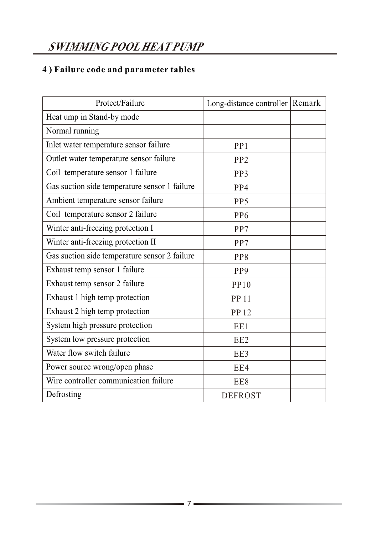### **4 ) Failure code and parameter tables**

| Protect/Failure                               | Long-distance controller   Remark |  |
|-----------------------------------------------|-----------------------------------|--|
| Heat ump in Stand-by mode                     |                                   |  |
| Normal running                                |                                   |  |
| Inlet water temperature sensor failure        | PP <sub>1</sub>                   |  |
| Outlet water temperature sensor failure       | PP <sub>2</sub>                   |  |
| Coil temperature sensor 1 failure             | PP3                               |  |
| Gas suction side temperature sensor 1 failure | PP4                               |  |
| Ambient temperature sensor failure            | PP <sub>5</sub>                   |  |
| Coil temperature sensor 2 failure             | PP <sub>6</sub>                   |  |
| Winter anti-freezing protection I             | PP7                               |  |
| Winter anti-freezing protection II            | PP7                               |  |
| Gas suction side temperature sensor 2 failure | PP8                               |  |
| Exhaust temp sensor 1 failure                 | PP <sub>9</sub>                   |  |
| Exhaust temp sensor 2 failure                 | PP10                              |  |
| Exhaust 1 high temp protection                | <b>PP11</b>                       |  |
| Exhaust 2 high temp protection                | <b>PP12</b>                       |  |
| System high pressure protection               | EE1                               |  |
| System low pressure protection                | EE <sub>2</sub>                   |  |
| Water flow switch failure                     | EE3                               |  |
| Power source wrong/open phase                 | EE4                               |  |
| Wire controller communication failure         | EE8                               |  |
| Defrosting                                    | <b>DEFROST</b>                    |  |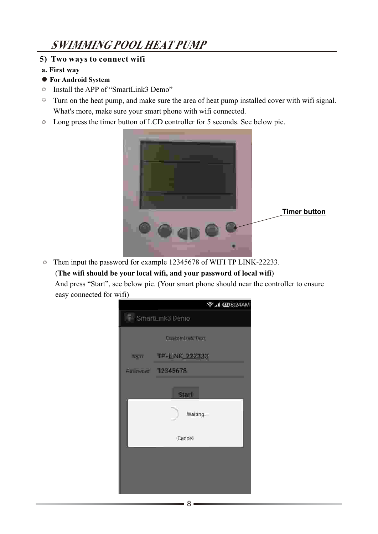#### **5) Two ways to connect wifi**

- **a. First way**
- **For Android System**
- Install the APP of "SmartLink3 Demo" ◎
- Turn on the heat pump, and make sure the area of heat pump installed cover with wifi signal. ◎ What's more, make sure your smart phone with wifi connected.
- ◎ Long press the timer button of LCD controller for 5 seconds. See below pic.



Then input the password for example 12345678 of WIFI TP LINK-22233. ◎ (**The wifi should be your local wifi, and your password of local wifi**)

And press "Start", see below pic. (Your smart phone should near the controller to ensure easy connected for wifi)

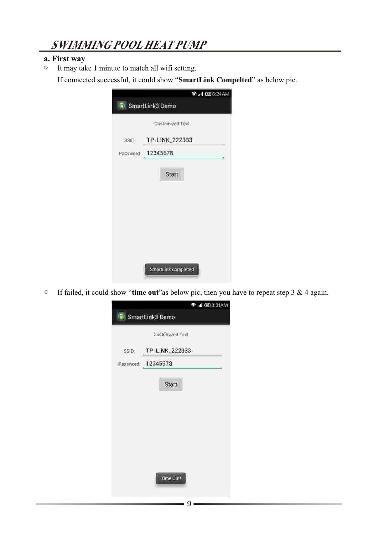#### **a. First way**

 It may take 1 minute to match all wifi setting. If connected successful, it could show "**SmartLink Compelted**" as below pic. ◎

|                 | <b>→ III 国8:24AM</b>     |  |  |
|-----------------|--------------------------|--|--|
| SmartLink3 Demo |                          |  |  |
|                 | Customized Text          |  |  |
| SSIDI           | TP-LINK_222333           |  |  |
|                 | Password: 12345678<br>÷. |  |  |
|                 |                          |  |  |
|                 | Start                    |  |  |
|                 |                          |  |  |
|                 |                          |  |  |
|                 |                          |  |  |
|                 |                          |  |  |
|                 |                          |  |  |
|                 |                          |  |  |
|                 | SmartLink completed      |  |  |

 If failed, it could show "**time out**"as below pic, then you have to repeat step 3 & 4 again.  $\circledcirc$ 

|                 | <b>全計国8:31AM</b>  |  |  |  |
|-----------------|-------------------|--|--|--|
| SmartLink3 Demo |                   |  |  |  |
|                 | Customized Text   |  |  |  |
| SSID:           | TP-LINK_222333    |  |  |  |
|                 | Password 12345678 |  |  |  |
|                 |                   |  |  |  |
|                 | Start             |  |  |  |
|                 |                   |  |  |  |
|                 |                   |  |  |  |
|                 |                   |  |  |  |
|                 |                   |  |  |  |
|                 |                   |  |  |  |
|                 | Time Out!         |  |  |  |
|                 |                   |  |  |  |
|                 |                   |  |  |  |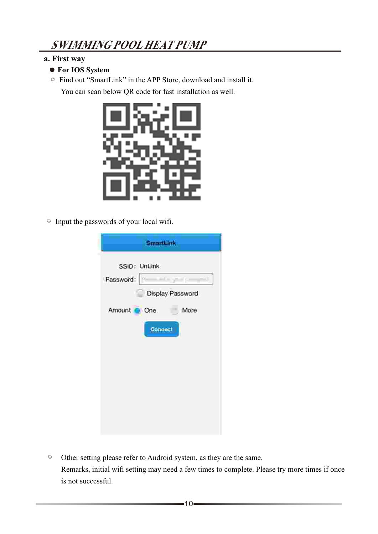### **a. First way**

- **For IOS System**
- ◎ Find out "SmartLink" in the APP Store, download and install it.

You can scan below QR code for fast installation as well.



◎ Input the passwords of your local wifi.

| SmartLink                            |
|--------------------------------------|
| SSID: UnLink<br>Password: P<br>$-1$  |
| Display Password<br>Amount One. More |
| <b>Connect</b>                       |
|                                      |
|                                      |
|                                      |

 $\circ$  Other setting please refer to Android system, as they are the same. Remarks, initial wifi setting may need a few times to complete. Please try more times if once is not successful.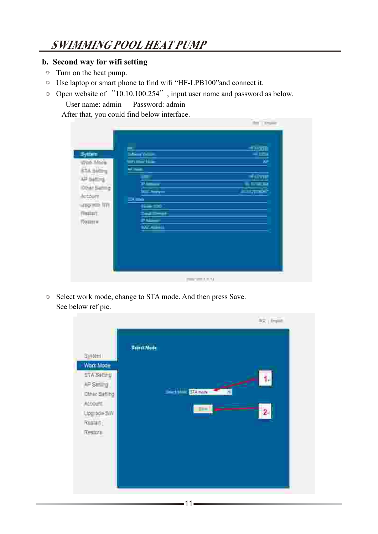#### **b. Second way for wifi setting**

- ◎ Turn on the heat pump.
- ◎ Use laptop or smart phone to find wifi "HF-LPB100"and connect it.
- ◎ Open website of "10.10.100.254", input user name and password as below. User name: admin Password: admin

After that, you could find below interface.

| −<br><b>School School</b><br><b>STATISTICS</b><br><b>STAR</b><br><b>Piloton Company</b>                            | <b>SUST</b><br>₩<br>$+0.001$<br><b>BERKE</b> |
|--------------------------------------------------------------------------------------------------------------------|----------------------------------------------|
| <b>Search Angeles</b><br><b>COMMOD</b><br><b>Bisim 200</b><br><b>Sealings</b><br>$\frac{1}{2}$<br><b>TIVO HILL</b> | والمسترابط                                   |
|                                                                                                                    |                                              |
|                                                                                                                    |                                              |

◎ Select work mode, change to STA mode. And then press Save. See below ref pic.

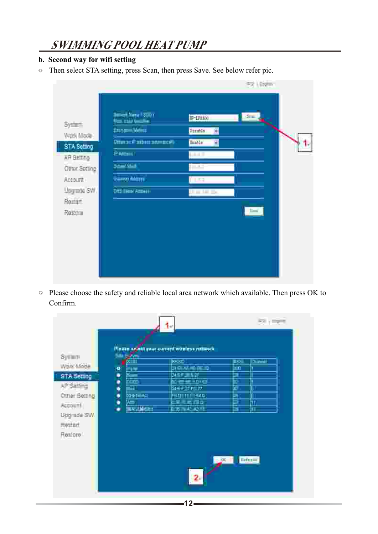#### **b. Second way for wifi setting**

 $\circledcirc$ Then select STA setting, press Scan, then press Save. See below refer pic.

| System:           | <b>Benedi Nese I COVI</b><br><b>Hotel Call Security</b> | 5 <sub>ex</sub><br>IF-LEEKS |
|-------------------|---------------------------------------------------------|-----------------------------|
| Work Mode:        | #mg = Notina                                            | Pasmit                      |
| STA Setting       | Отипас Рабова элимпера                                  | Triable <sup>1</sup>        |
| <b>AR Setting</b> | <b>PARMIT</b>                                           | القشية                      |
| Other Setting     | فتلاسمه                                                 | <b>Contract</b>             |
| Account           | <b>Veel Want</b>                                        | ਿਥ                          |
| Upgrade SW        | <b>DIED BROK Account</b>                                |                             |
| Remart.<br>Resour |                                                         | $2-4$                       |
|                   |                                                         |                             |

◎ Please choose the safety and reliable local area network which available. Then press OK to Confirm.

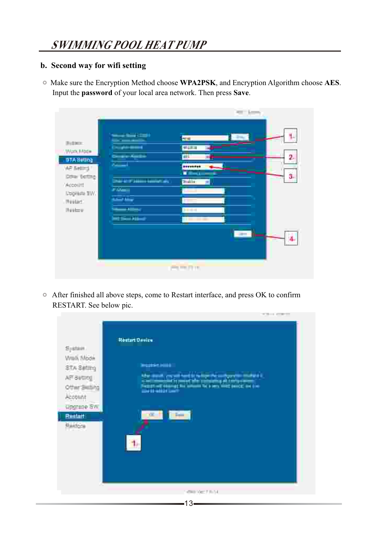#### **b. Second way for wifi setting**

◎ Make sure the Encryption Method choose **WPA2PSK**, and Encryption Algorithm choose **AES**. Input the **password** of your local area network. Then press **Save**.

|                                                                 |                                                                                                                    | <b>STAR</b>                                                                                                                                                                                                                                                                                                                                                                                        |
|-----------------------------------------------------------------|--------------------------------------------------------------------------------------------------------------------|----------------------------------------------------------------------------------------------------------------------------------------------------------------------------------------------------------------------------------------------------------------------------------------------------------------------------------------------------------------------------------------------------|
| Butter:<br>Work Mode<br><b>STARKING</b><br><b>VAP Netting !</b> | <b>Service Service Control</b><br>فالمقارب والأناة<br><b>Change House</b><br><b>Dealer Audio</b><br>$\overline{a}$ | ٤.<br><b>ALLES</b><br><b>Military</b><br>2.<br><b>ALLS</b><br>-------<br><b><i><u>RANGELINE</u></i></b>                                                                                                                                                                                                                                                                                            |
| Draw Berting<br>/ Account                                       | <b>Die Griff Statio German and</b>                                                                                 | 3.<br>$\frac{1}{2} \frac{1}{2} \frac{1}{2} \frac{1}{2} \frac{1}{2} \frac{1}{2} \frac{1}{2} \frac{1}{2} \frac{1}{2} \frac{1}{2} \frac{1}{2} \frac{1}{2} \frac{1}{2} \frac{1}{2} \frac{1}{2} \frac{1}{2} \frac{1}{2} \frac{1}{2} \frac{1}{2} \frac{1}{2} \frac{1}{2} \frac{1}{2} \frac{1}{2} \frac{1}{2} \frac{1}{2} \frac{1}{2} \frac{1}{2} \frac{1}{2} \frac{1}{2} \frac{1}{2} \frac{1}{2} \frac{$ |
| <b>Lopiana IW.</b>                                              | <b>Film</b><br>ستعاصفه                                                                                             |                                                                                                                                                                                                                                                                                                                                                                                                    |
| . INVARIATE<br><b>INVALUE</b>                                   | يورس                                                                                                               | $  - 1 - 1  $                                                                                                                                                                                                                                                                                                                                                                                      |
|                                                                 | <b>International</b>                                                                                               | $\frac{1}{1}$                                                                                                                                                                                                                                                                                                                                                                                      |
|                                                                 |                                                                                                                    | -                                                                                                                                                                                                                                                                                                                                                                                                  |
|                                                                 |                                                                                                                    | 曲曲用語                                                                                                                                                                                                                                                                                                                                                                                               |

◎ After finished all above steps, come to Restart interface, and press OK to confirm RESTART. See below pic.

| System.<br>Werk, Mode<br>STA Setting<br>AFF-SW010g<br>Other Skilling<br>Account<br><b>UPSTOR SW</b><br>Reitait<br><b>Baidos</b> | ___<br><b>Nestant Daview</b><br><b>Masses Miller</b><br>het wordt gegrend hert is het gestie en begin in met de skil.<br>De gegen de gestie geskieden begin de geskieden om de geskieden om de geskieden om de geskieden om de geskiede<br>De geskieden om de geskieden om de geskieden om d<br>we the first last<br>$-1$<br>άī. |  |
|---------------------------------------------------------------------------------------------------------------------------------|----------------------------------------------------------------------------------------------------------------------------------------------------------------------------------------------------------------------------------------------------------------------------------------------------------------------------------|--|
|                                                                                                                                 |                                                                                                                                                                                                                                                                                                                                  |  |
|                                                                                                                                 | 149800017.001                                                                                                                                                                                                                                                                                                                    |  |
|                                                                                                                                 | 13 <sub>1</sub>                                                                                                                                                                                                                                                                                                                  |  |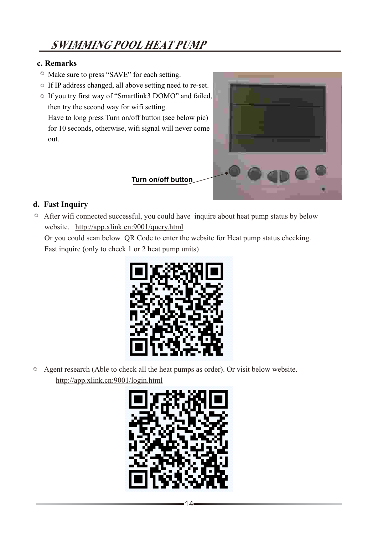#### **c. Remarks**

- ◎ Make sure to press "SAVE" for each setting.
- ◎ If IP address changed, all above setting need to re-set.
- ◎ If you try first way of "Smartlink3 DOMO" and failed, then try the second way for wifi setting. Have to long press Turn on/off button (see below pic) for 10 seconds, otherwise, wifi signal will never come out.



### **d. Fast Inquiry**

After wifi connected successful, you could have inquire about heat pump status by below ◎ website. http://app.xlink.cn:9001/query.html

 Or you could scan below QR Code to enter the website for Heat pump status checking. Fast inquire (only to check 1 or 2 heat pump units)



Agent research (Able to check all the heat pumps as order). Or visit below website. ◎ http://app.xlink.cn:9001/login.html

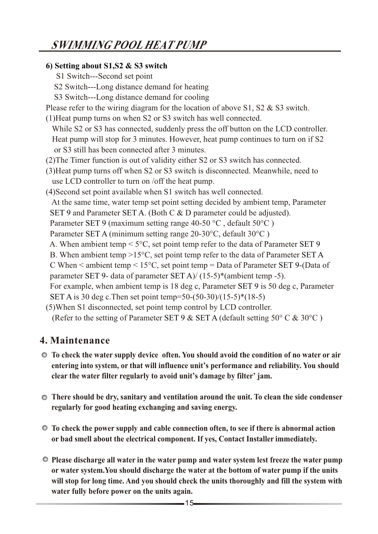### **6) Setting about S1,S2 & S3 switch**

- S1 Switch---Second set point
- S2 Switch---Long distance demand for heating
- S3 Switch---Long distance demand for cooling
- Please refer to the wiring diagram for the location of above S1, S2 & S3 switch.
- (1)Heat pump turns on when S2 or S3 switch has well connected.
- While S2 or S3 has connected, suddenly press the off button on the LCD controller. Heat pump will stop for 3 minutes. However, heat pump continues to turn on if S2 or S3 still has been connected after 3 minutes.
- (2)The Timer function is out of validity either S2 or S3 switch has connected.
- (3)Heat pump turns off when S2 or S3 switch is disconnected. Meanwhile, need to use LCD controller to turn on /off the heat pump.
- (4)Second set point available when S1 switch has well connected.
- At the same time, water temp set point setting decided by ambient temp, Parameter
- SET 9 and Parameter SET A. (Both C & D parameter could be adjusted).
- Parameter SET 9 (maximum setting range 40-50 °C, default  $50^{\circ}$ C)
- Parameter SET A (minimum setting range 20-30°C, default 30°C)
- A. When ambient temp  $\leq 5^{\circ}$ C, set point temp refer to the data of Parameter SET 9
- B. When ambient temp  $>15^{\circ}$ C, set point temp refer to the data of Parameter SET A
- C When  $\leq$  ambient temp  $\leq$  15°C, set point temp  $=$  Data of Parameter SET 9-(Data of
- parameter SET 9- data of parameter SET A)/ $(15-5)$ \*(ambient temp -5).
- For example, when ambient temp is 18 deg c, Parameter SET 9 is 50 deg c, Parameter SET A is 30 deg c.Then set point temp=50-(50-30)/(15-5)\*(18-5)
- (5)When S1 disconnected, set point temp control by LCD controller.
- (Refer to the setting of Parameter SET 9 & SET A (default setting 50 $\degree$  C & 30 $\degree$ C)

### **4. Maintenance**

- **To check the water supply device often. You should avoid the condition of no water or air entering into system, or that will influence unit's performance and reliability. You should clear the water filter regularly to avoid unit's damage by filter' jam.**
- **There should be dry, sanitary and ventilation around the unit. To clean the side condenser regularly for good heating exchanging and saving energy.**
- **To check the power supply and cable connection often, to see if there is abnormal action or bad smell about the electrical component. If yes, Contact Installer immediately.**
- **Please discharge all water in the water pump and water system lest freeze the water pump or water system.You should discharge the water at the bottom of water pump if the units will stop for long time. And you should check the units thoroughly and fill the system with water fully before power on the units again.**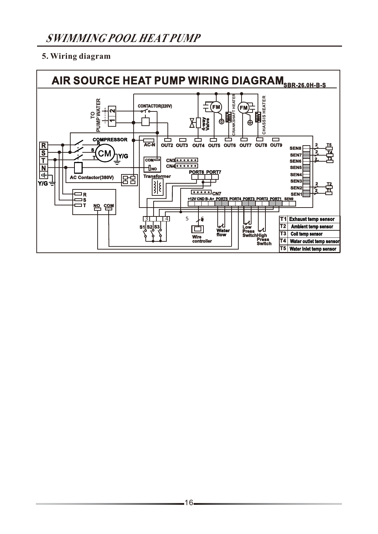### **5. Wiring diagram**

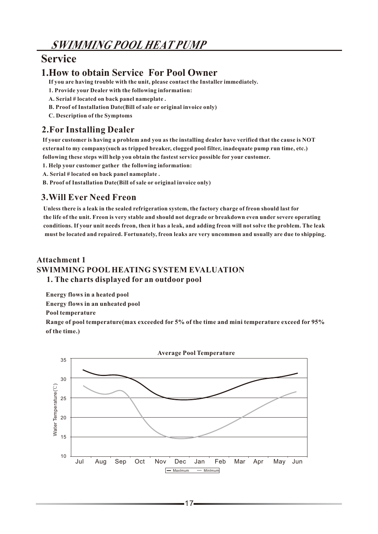### **Service**

### **1.How to obtain Service For Pool Owner**

**If you are having trouble with the unit, please contact the Installer immediately.**

- **1. Provide your Dealer with the following information:**
- **A. Serial # located on back panel nameplate .**
- **B. Proof of Installation Date(Bill of sale or original invoice only)**
- **C. Description of the Symptoms**

#### **2.For Installing Dealer**

**If your customer is having a problem and you as the installing dealer have verified that the cause is NOT external to my company(such as tripped breaker, clogged pool filter, inadequate pump run time, etc.) following these steps will help you obtain the fastest service possible for your customer.**

**1. Help your customer gather the following information:**

**A. Serial # located on back panel nameplate .**

**B. Proof of Installation Date(Bill of sale or original invoice only)**

#### **3.Will Ever Need Freon**

Unless there is a leak in the sealed refrigeration system, the factory charge of freon should last for **the life of the unit. Freon is very stable and should not degrade or breakdown even under severe operating conditions. If your unit needs freon, then it has a leak, and adding freon will not solve the problem. The leak must be located and repaired. Fortunately, freon leaks are very uncommon and usually are due to shipping.** 

#### **Attachment 1 SWIMMING POOL HEATING SYSTEM EVALUATION 1. The charts displayed for an outdoor pool**

**Energy flows in a heated pool**

**Energy flows in an unheated pool**

**Pool temperature**

**Range of pool temperature(max exceeded for 5% of the time and mini temperature exceed for 95% of the time.)**

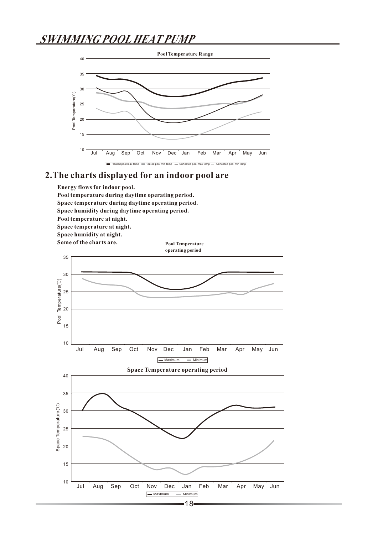

#### **2.The charts displayed for an indoor pool are**



18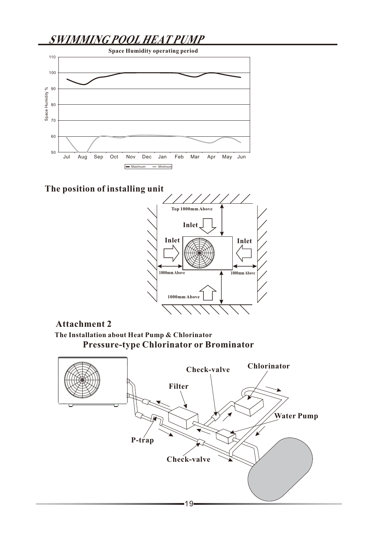

**The position of installing unit**



#### **Attachment 2**

**The Installation about Heat Pump & Chlorinator Pressure-type Chlorinator or Brominator**

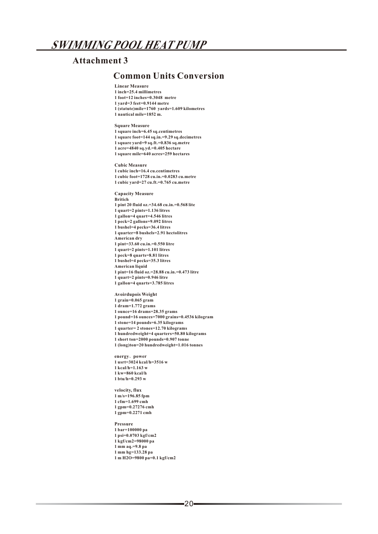#### **Attachment 3**

#### **Common Units Conversion**

**Linear Measure 1 inch=25.4 millimetres 1 foot=12 inches=0.3048 metre 1 yard=3 feet=0.9144 metre 1 (statute)mile=1760 yards=1.609 kilometres 1 nautical mile=1852 m.**

**Square Measure**

**1 square inch=6.45 sq.centimetres**

**1 square foot=144 sq.in.=9.29 sq.decimetres 1 square yard=9 sq.ft.=0.836 sq.metre**

**1 acre=4840 sq.yd.=0.405 hectare 1 square mile=640 acres=259 hectares**

**Cubic Measure**

**1 cubic inch=16.4 cu.centimetres 1 cubic foot=1728 cu.in.=0.0283 cu.metre 1 cubic yard=27 cu.ft.=0.765 cu.metre**

**Capacity Measure**

**Britich**

**1 pint 20 fluid oz.=34.68 cu.in.=0.568 lite**

**1 quart=2 pints=1.136 litres**

**1 gallon=4 quart=4.546 litres**

**1 peck=2 gallons=9.092 litres**

**1 bushel=4 pecks=36.4 litres**

**1 quarter=8 bushels=2.91 hectolitres**

**American dry**

**1 pint=33.60 cu.in.=0.550 litre**

**1 quart=2 pints=1.101 litres**

**1 peck=8 quarts=8.81 litres**

**1 bushel=4 pecks=35.3 litres**

**American liquid**

**1 pint=16 fluid oz.=28.88 cu.in.=0.473 litre**

**1 quart=2 pints=0.946 litre**

**1 gallon=4 quarts=3.785 litres**

**Avoirdupois Weight**

**1 grain=0.065 gram**

**1 dram=1.772 grams**

**1 ounce=16 drams=28.35 grams**

**1 pound=16 ounces=7000 grains=0.4536 kilogram**

**1 stone=14 pounds=6.35 kilograms**

**1 quarter= 2 stones=12.70 kilograms**

**1 hundredweight=4 quarters=50.80 kilograms**

**1 short ton=2000 pounds=0.907 tonne**

**1 (long)ton=20 hundredweight=1.016 tonnes**

**energy**、**power**

**1 usrt=3024 kcal/h=3516 w**

**1 kcal/h=1.163 w**

**1 kw=860 kcal/h**

**1 btu/h=0.293 w**

**velocity, flux**

**1 m/s=196.85 fpm**

**1 cfm=1.699 cmh 1 gpm=0.27276 cmh**

**1 gpm=0.2271 cmh**

**Pressure**

**1 bar=100000 pa**

**1 psi=0.0703 kgf/cm2**

**1 kgf/cm2=98000 pa**

**1 mm aq.=9.8 pa**

**1 mm hg=133.28 pa**

**1 m H2O=9800 pa=0.1 kgf/cm2**